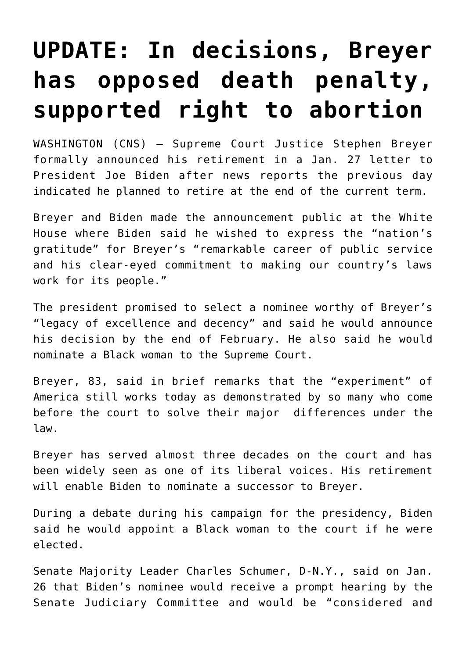## **[UPDATE: In decisions, Breyer](https://www.osvnews.com/amp/2022/01/26/in-decisions-breyer-has-opposed-death-penalty-supported-right-to-abortion/) [has opposed death penalty,](https://www.osvnews.com/amp/2022/01/26/in-decisions-breyer-has-opposed-death-penalty-supported-right-to-abortion/) [supported right to abortion](https://www.osvnews.com/amp/2022/01/26/in-decisions-breyer-has-opposed-death-penalty-supported-right-to-abortion/)**

WASHINGTON (CNS) — Supreme Court Justice Stephen Breyer formally announced his retirement in a Jan. 27 letter to President Joe Biden after news reports the previous day indicated he planned to retire at the end of the current term.

Breyer and Biden made the announcement public at the White House where Biden said he wished to express the "nation's gratitude" for Breyer's "remarkable career of public service and his clear-eyed commitment to making our country's laws work for its people."

The president promised to select a nominee worthy of Breyer's "legacy of excellence and decency" and said he would announce his decision by the end of February. He also said he would nominate a Black woman to the Supreme Court.

Breyer, 83, said in brief remarks that the "experiment" of America still works today as demonstrated by so many who come before the court to solve their major differences under the law.

Breyer has served almost three decades on the court and has been widely seen as one of its liberal voices. His retirement will enable Biden to nominate a successor to Breyer.

During a debate during his campaign for the presidency, Biden said he would appoint a Black woman to the court if he were elected.

Senate Majority Leader Charles Schumer, D-N.Y., said on Jan. 26 that Biden's nominee would receive a prompt hearing by the Senate Judiciary Committee and would be "considered and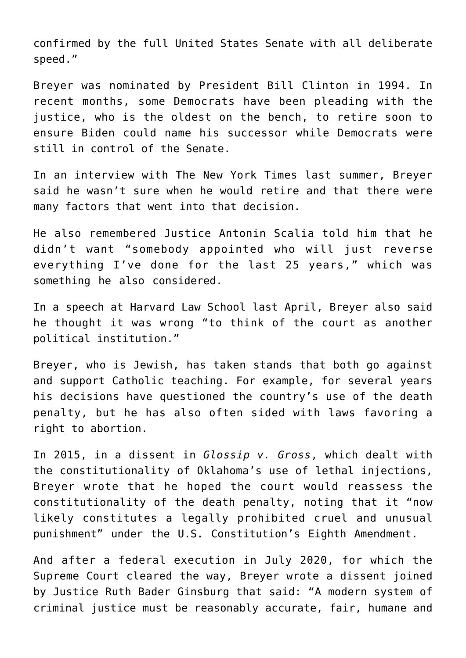confirmed by the full United States Senate with all deliberate speed."

Breyer was nominated by President Bill Clinton in 1994. In recent months, some Democrats have been pleading with the justice, who is the oldest on the bench, to retire soon to ensure Biden could name his successor while Democrats were still in control of the Senate.

In an interview with The New York Times last summer, Breyer said he wasn't sure when he would retire and that there were many factors that went into that decision.

He also remembered Justice Antonin Scalia told him that he didn't want "somebody appointed who will just reverse everything I've done for the last 25 years," which was something he also considered.

In a speech at Harvard Law School last April, Breyer also said he thought it was wrong "to think of the court as another political institution."

Breyer, who is Jewish, has taken stands that both go against and support Catholic teaching. For example, for several years his decisions have questioned the country's use of the death penalty, but he has also often sided with laws favoring a right to abortion.

In 2015, in a dissent in *Glossip v. Gross*, which dealt with the constitutionality of Oklahoma's use of lethal injections, Breyer wrote that he hoped the court would reassess the constitutionality of the death penalty, noting that it "now likely constitutes a legally prohibited cruel and unusual punishment" under the U.S. Constitution's Eighth Amendment.

And after a federal execution in July 2020, for which the Supreme Court cleared the way, Breyer wrote a dissent joined by Justice Ruth Bader Ginsburg that said: "A modern system of criminal justice must be reasonably accurate, fair, humane and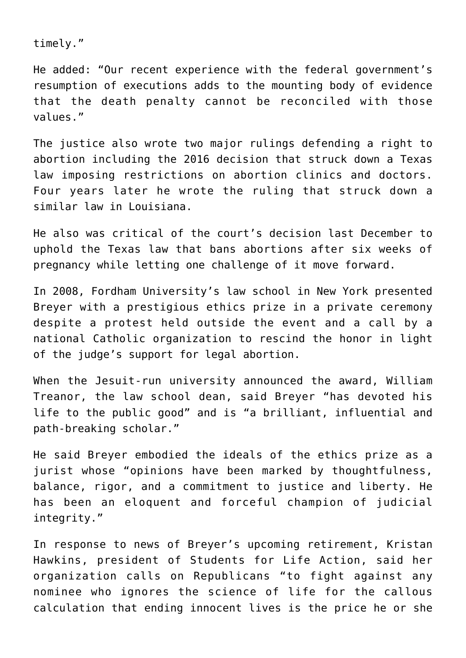timely."

He added: "Our recent experience with the federal government's resumption of executions adds to the mounting body of evidence that the death penalty cannot be reconciled with those values."

The justice also wrote two major rulings defending a right to abortion including the 2016 decision that struck down a Texas law imposing restrictions on abortion clinics and doctors. Four years later he wrote the ruling that struck down a similar law in Louisiana.

He also was critical of the court's decision last December to uphold the Texas law that bans abortions after six weeks of pregnancy while letting one challenge of it move forward.

In 2008, Fordham University's law school in New York presented Breyer with a prestigious ethics prize in a private ceremony despite a protest held outside the event and a call by a national Catholic organization to rescind the honor in light of the judge's support for legal abortion.

When the Jesuit-run university announced the award, William Treanor, the law school dean, said Breyer "has devoted his life to the public good" and is "a brilliant, influential and path-breaking scholar."

He said Breyer embodied the ideals of the ethics prize as a jurist whose "opinions have been marked by thoughtfulness, balance, rigor, and a commitment to justice and liberty. He has been an eloquent and forceful champion of judicial integrity."

In response to news of Breyer's upcoming retirement, Kristan Hawkins, president of Students for Life Action, said her organization calls on Republicans "to fight against any nominee who ignores the science of life for the callous calculation that ending innocent lives is the price he or she